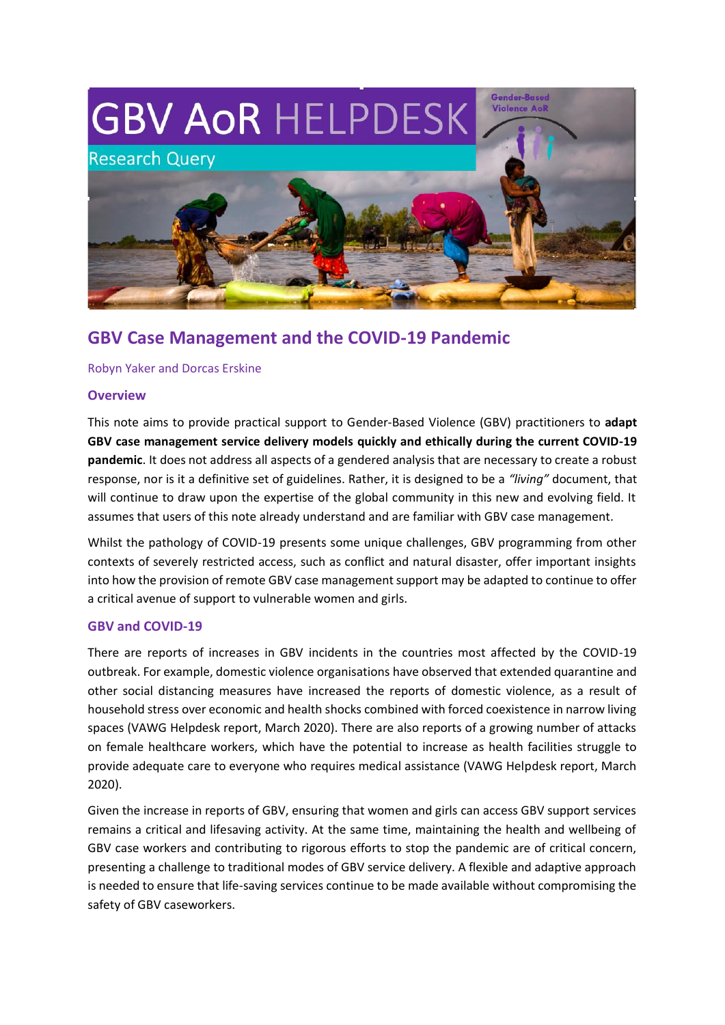

# **GBV Case Management and the COVID-19 Pandemic**

Robyn Yaker and Dorcas Erskine

#### **Overview**

This note aims to provide practical support to Gender-Based Violence (GBV) practitioners to **adapt GBV case management service delivery models quickly and ethically during the current COVID-19 pandemic**. It does not address all aspects of a gendered analysis that are necessary to create a robust response, nor is it a definitive set of guidelines. Rather, it is designed to be a *"living"* document, that will continue to draw upon the expertise of the global community in this new and evolving field. It assumes that users of this note already understand and are familiar with GBV case management.

Whilst the pathology of COVID-19 presents some unique challenges, GBV programming from other contexts of severely restricted access, such as conflict and natural disaster, offer important insights into how the provision of remote GBV case management support may be adapted to continue to offer a critical avenue of support to vulnerable women and girls.

### **GBV and COVID-19**

There are reports of increases in GBV incidents in the countries most affected by the COVID-19 outbreak. For example, domestic violence organisations have observed that extended quarantine and other social distancing measures have increased the reports of domestic violence, as a result of household stress over economic and health shocks combined with forced coexistence in narrow living spaces (VAWG Helpdesk report, March 2020). There are also reports of a growing number of attacks on female healthcare workers, which have the potential to increase as health facilities struggle to provide adequate care to everyone who requires medical assistance (VAWG Helpdesk report, March 2020).

Given the increase in reports of GBV, ensuring that women and girls can access GBV support services remains a critical and lifesaving activity. At the same time, maintaining the health and wellbeing of GBV case workers and contributing to rigorous efforts to stop the pandemic are of critical concern, presenting a challenge to traditional modes of GBV service delivery. A flexible and adaptive approach is needed to ensure that life-saving services continue to be made available without compromising the safety of GBV caseworkers.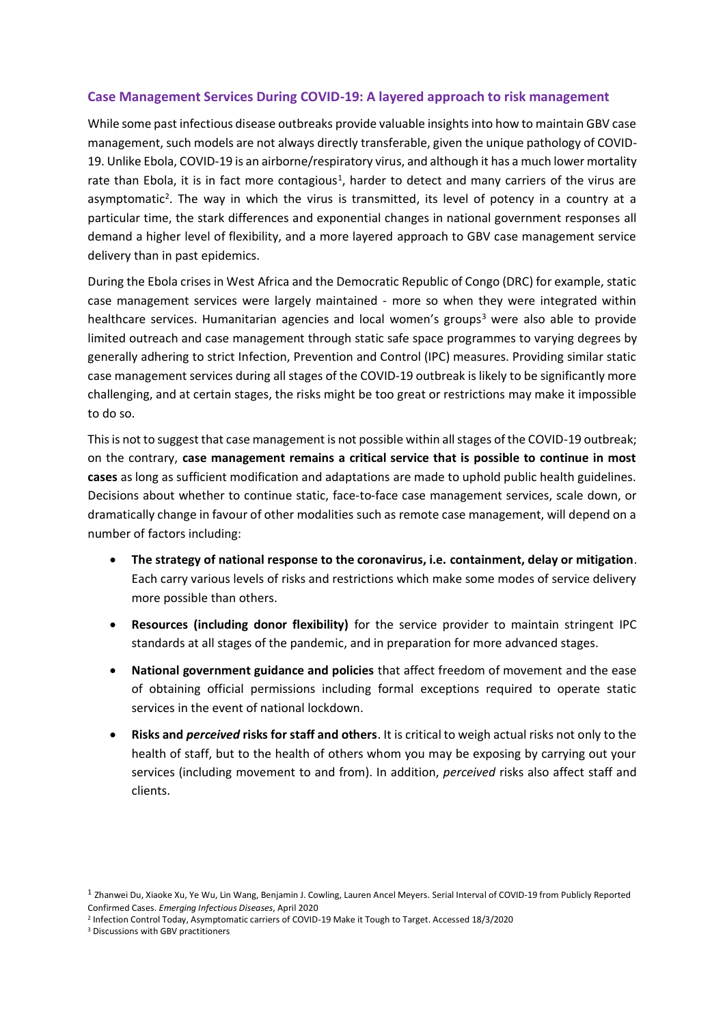#### **Case Management Services During COVID-19: A layered approach to risk management**

While some past infectious disease outbreaks provide valuable insights into how to maintain GBV case management, such models are not always directly transferable, given the unique pathology of COVID-19. Unlike Ebola, COVID-19 is an airborne/respiratory virus, and although it has a much lower mortality rate than Ebola, it is in fact more contagious<sup>1</sup>, harder to detect and many carriers of the virus are asymptomatic<sup>2</sup>. The way in which the virus is transmitted, its level of potency in a country at a particular time, the stark differences and exponential changes in national government responses all demand a higher level of flexibility, and a more layered approach to GBV case management service delivery than in past epidemics.

During the Ebola crises in West Africa and the Democratic Republic of Congo (DRC) for example, static case management services were largely maintained - more so when they were integrated within healthcare services. Humanitarian agencies and local women's groups<sup>3</sup> were also able to provide limited outreach and case management through static safe space programmes to varying degrees by generally adhering to strict Infection, Prevention and Control (IPC) measures. Providing similar static case management services during all stages of the COVID-19 outbreak is likely to be significantly more challenging, and at certain stages, the risks might be too great or restrictions may make it impossible to do so.

This is not to suggest that case management is not possible within all stages of the COVID-19 outbreak; on the contrary, **case management remains a critical service that is possible to continue in most cases** as long as sufficient modification and adaptations are made to uphold public health guidelines. Decisions about whether to continue static, face-to-face case management services, scale down, or dramatically change in favour of other modalities such as remote case management, will depend on a number of factors including:

- **The strategy of national response to the coronavirus, i.e. containment, delay or mitigation**. Each carry various levels of risks and restrictions which make some modes of service delivery more possible than others.
- **Resources (including donor flexibility)** for the service provider to maintain stringent IPC standards at all stages of the pandemic, and in preparation for more advanced stages.
- **National government guidance and policies** that affect freedom of movement and the ease of obtaining official permissions including formal exceptions required to operate static services in the event of national lockdown.
- **Risks and** *perceived* **risks for staff and others**. It is critical to weigh actual risks not only to the health of staff, but to the health of others whom you may be exposing by carrying out your services (including movement to and from). In addition, *perceived* risks also affect staff and clients.

<sup>&</sup>lt;sup>1</sup> Zhanwei Du, Xiaoke Xu, Ye Wu, Lin Wang, Benjamin J. Cowling, Lauren Ancel Meyers. Serial Interval of COVID-19 from Publicly Reported Confirmed Cases. *Emerging Infectious Diseases*, April 2020

<sup>2</sup> Infection Control Today, Asymptomatic carriers of COVID-19 Make it Tough to Target. Accessed 18/3/2020

<sup>3</sup> Discussions with GBV practitioners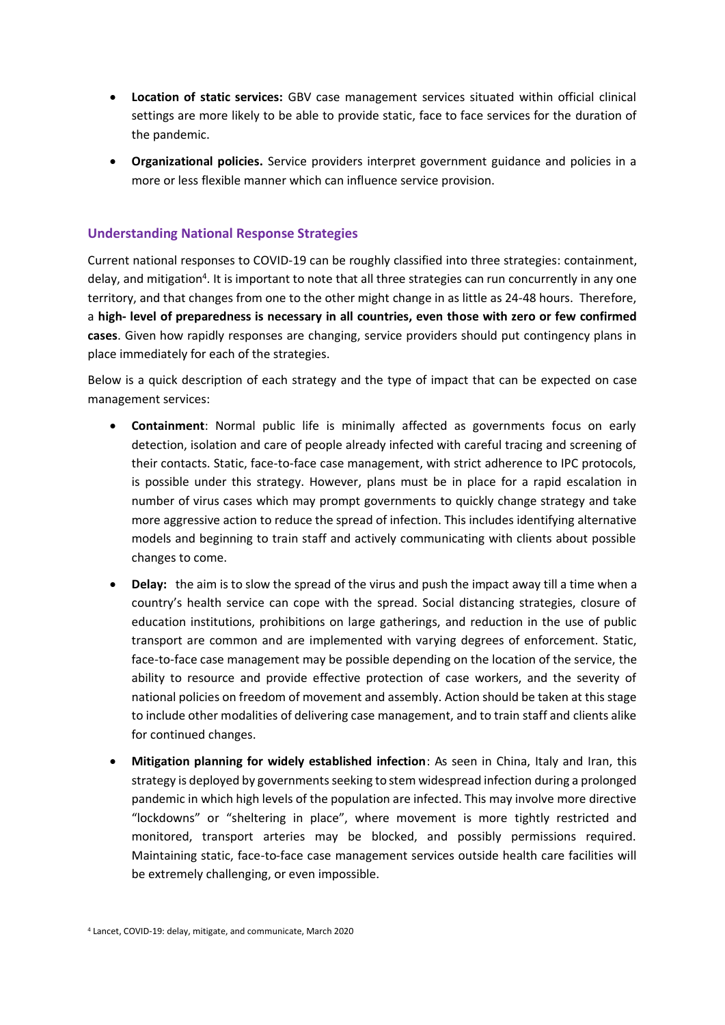- **Location of static services:** GBV case management services situated within official clinical settings are more likely to be able to provide static, face to face services for the duration of the pandemic.
- **Organizational policies.** Service providers interpret government guidance and policies in a more or less flexible manner which can influence service provision.

#### **Understanding National Response Strategies**

Current national responses to COVID-19 can be roughly classified into three strategies: containment, delay, and mitigation<sup>4</sup>. It is important to note that all three strategies can run concurrently in any one territory, and that changes from one to the other might change in as little as 24-48 hours. Therefore, a **high- level of preparedness is necessary in all countries, even those with zero or few confirmed cases**. Given how rapidly responses are changing, service providers should put contingency plans in place immediately for each of the strategies.

Below is a quick description of each strategy and the type of impact that can be expected on case management services:

- **Containment**: Normal public life is minimally affected as governments focus on early detection, isolation and care of people already infected with careful tracing and screening of their contacts. Static, face-to-face case management, with strict adherence to IPC protocols, is possible under this strategy. However, plans must be in place for a rapid escalation in number of virus cases which may prompt governments to quickly change strategy and take more aggressive action to reduce the spread of infection. This includes identifying alternative models and beginning to train staff and actively communicating with clients about possible changes to come.
- **Delay:** the aim is to slow the spread of the virus and push the impact away till a time when a country's health service can cope with the spread. Social distancing strategies, closure of education institutions, prohibitions on large gatherings, and reduction in the use of public transport are common and are implemented with varying degrees of enforcement. Static, face-to-face case management may be possible depending on the location of the service, the ability to resource and provide effective protection of case workers, and the severity of national policies on freedom of movement and assembly. Action should be taken at this stage to include other modalities of delivering case management, and to train staff and clients alike for continued changes.
- **Mitigation planning for widely established infection**: As seen in China, Italy and Iran, this strategy is deployed by governments seeking to stem widespread infection during a prolonged pandemic in which high levels of the population are infected. This may involve more directive "lockdowns" or "sheltering in place", where movement is more tightly restricted and monitored, transport arteries may be blocked, and possibly permissions required. Maintaining static, face-to-face case management services outside health care facilities will be extremely challenging, or even impossible.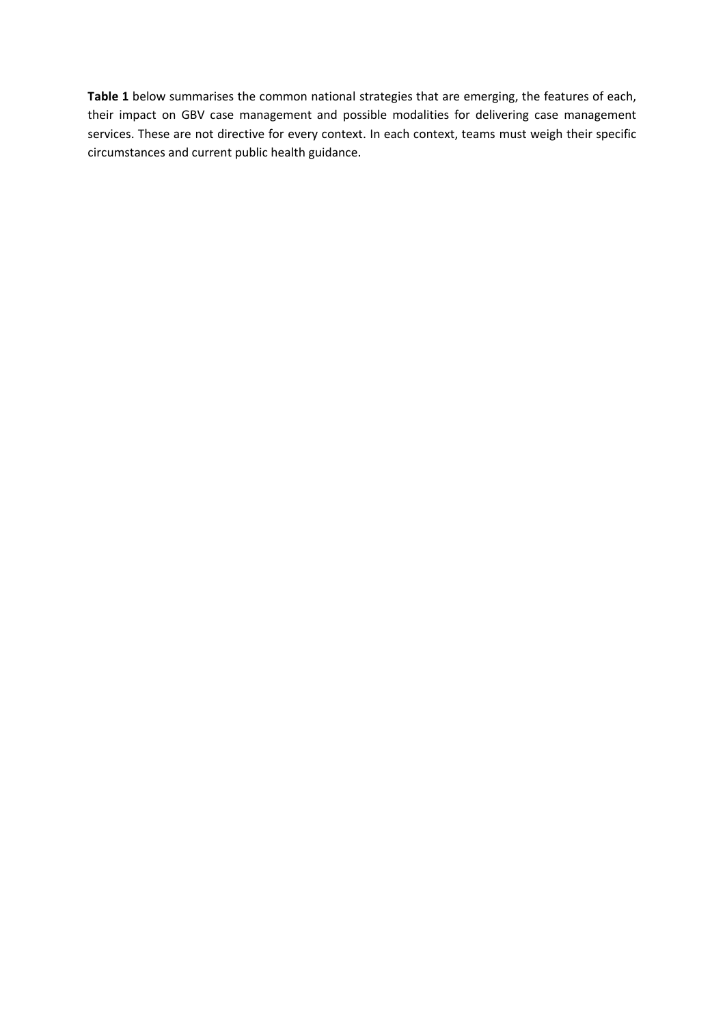**Table 1** below summarises the common national strategies that are emerging, the features of each, their impact on GBV case management and possible modalities for delivering case management services. These are not directive for every context. In each context, teams must weigh their specific circumstances and current public health guidance.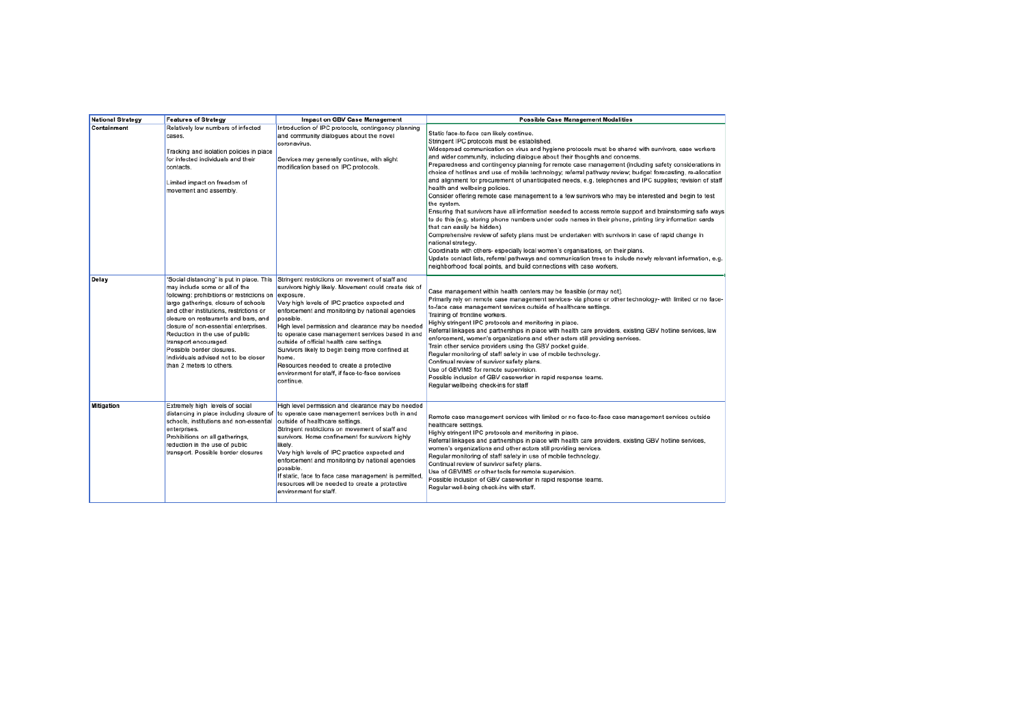| <b>National Strategy</b> | <b>Features of Strategy</b>                                                                                                                                                                                                                                                                                                                                                                                                                               | <b>Impact on GBV Case Management</b>                                                                                                                                                                                                                                                                                                                                                                                                                                                                                                                                  | <b>Possible Case Management Modalities</b>                                                                                                                                                                                                                                                                                                                                                                                                                                                                                                                                                                                                                                                                                                                                                                                                                                                                                                                                                                                                                                                                                                                                                                                                                                                                                                                                                                                          |
|--------------------------|-----------------------------------------------------------------------------------------------------------------------------------------------------------------------------------------------------------------------------------------------------------------------------------------------------------------------------------------------------------------------------------------------------------------------------------------------------------|-----------------------------------------------------------------------------------------------------------------------------------------------------------------------------------------------------------------------------------------------------------------------------------------------------------------------------------------------------------------------------------------------------------------------------------------------------------------------------------------------------------------------------------------------------------------------|-------------------------------------------------------------------------------------------------------------------------------------------------------------------------------------------------------------------------------------------------------------------------------------------------------------------------------------------------------------------------------------------------------------------------------------------------------------------------------------------------------------------------------------------------------------------------------------------------------------------------------------------------------------------------------------------------------------------------------------------------------------------------------------------------------------------------------------------------------------------------------------------------------------------------------------------------------------------------------------------------------------------------------------------------------------------------------------------------------------------------------------------------------------------------------------------------------------------------------------------------------------------------------------------------------------------------------------------------------------------------------------------------------------------------------------|
| Containment              | Relatively low numbers of infected<br>cases.<br>Tracking and isolation policies in place<br>for infected individuals and their<br>contacts.<br>Limited impact on freedom of<br>movement and assembly.                                                                                                                                                                                                                                                     | Introduction of IPC protocols, contingency planning<br>and community dialogues about the novel<br>coronavirus.<br>Services may generally continue, with slight<br>modification based on IPC protocols.                                                                                                                                                                                                                                                                                                                                                                | Static face-to-face can likely continue.<br>Stringent IPC protocols must be established.<br>Widespread communication on virus and hygiene protocols must be shared with survivors, case workers<br>and wider community, including dialogue about their thoughts and concerns.<br>Preparedness and contingency planning for remote case management (including safety considerations in<br>choice of hotlines and use of mobile technology; referral pathway review; budget forecasting, re-allocation<br>and alignment for procurement of unanticipated needs, e.g. telephones and IPC supplies; revision of staff<br>health and wellbeing policies.<br>Consider offering remote case management to a few survivors who may be interested and begin to test<br>the system.<br>Ensuring that survivors have all information needed to access remote support and brainstorming safe ways<br>to do this (e.g. storing phone numbers under code names in their phone, printing tiny information cards<br>that can easily be hidden).<br>Comprehensive review of safety plans must be undertaken with survivors in case of rapid change in<br>national strategy.<br>Coordinate with others- especially local women's organisations, on their plans.<br>Update contact lists, referral pathways and communication trees to include newly relevant information, e.g.<br>neighborhood focal points, and build connections with case workers. |
| Delay                    | "Social distancing" is put in place. This<br>may include some or all of the<br>following: prohibitions or restrictions on<br>large gatherings, closure of schools<br>and other institutions, restrictions or<br>closure on restaurants and bars, and<br>closure of non-essential enterprises.<br>Reduction in the use of public<br>transport encouraged.<br>Possible border closures.<br>Individuals advised not to be closer<br>than 2 meters to others. | Stringent restrictions on movement of staff and<br>survivors highly likely. Movement could create risk of<br>exposure.<br>Very high levels of IPC practice expected and<br>enforcement and monitoring by national agencies<br>possible.<br>High level permission and clearance may be needed<br>to operate case management services based in and<br>outside of official health care settings.<br>Survivors likely to begin being more confined at<br>home.<br>Resources needed to create a protective<br>environment for staff, if face-to-face services<br>continue. | Case management within health centers may be feasible (or may not).<br>Primarily rely on remote case management services- via phone or other technology- with limited or no face-<br>to-face case management services outside of healthcare settings.<br>Training of frontline workers.<br>Highly stringent IPC protocols and monitoring in place.<br>Referral linkages and partnerships in place with health care providers, existing GBV hotline services, law<br>enforcement, women's organizations and other actors still providing services.<br>Train other service providers using the GBV pocket guide.<br>Regular monitoring of staff safety in use of mobile technology.<br>Continual review of survivor safety plans.<br>Use of GBVIMS for remote supervision.<br>Possible inclusion of GBV caseworker in rapid response teams.<br>Regular wellbeing check-ins for staff                                                                                                                                                                                                                                                                                                                                                                                                                                                                                                                                                  |
| <b>Mitigation</b>        | Extremely high levels of social<br>distancing in place including closure of<br>schools, institutions and non-essential<br>enterprises.<br>Prohibitions on all gatherings,<br>reduction in the use of public<br>transport. Possible border closures                                                                                                                                                                                                        | High level permission and clearance may be needed<br>to operate case management services both in and<br>outside of healthcare settings.<br>Stringent restrictions on movement of staff and<br>survivors. Home confinement for survivors highly<br>likely.<br>Very high levels of IPC practice expected and<br>enforcement and monitoring by national agencies<br>possible.<br>If static, face to face case management is permitted<br>resources will be needed to create a protective<br>environment for staff.                                                       | Remote case management services with limited or no face-to-face case management services outside<br>healthcare settings.<br>Highly stringent IPC protocols and monitoring in place.<br>Referral linkages and partnerships in place with health care providers, existing GBV hotline services,<br>women's organizations and other actors still providing services.<br>Regular monitoring of staff safety in use of mobile technology.<br>Continual review of survivor safety plans.<br>Use of GBVIMS or other tools for remote supervision.<br>Possible inclusion of GBV caseworker in rapid response teams.<br>Regular well-being check-ins with staff.                                                                                                                                                                                                                                                                                                                                                                                                                                                                                                                                                                                                                                                                                                                                                                             |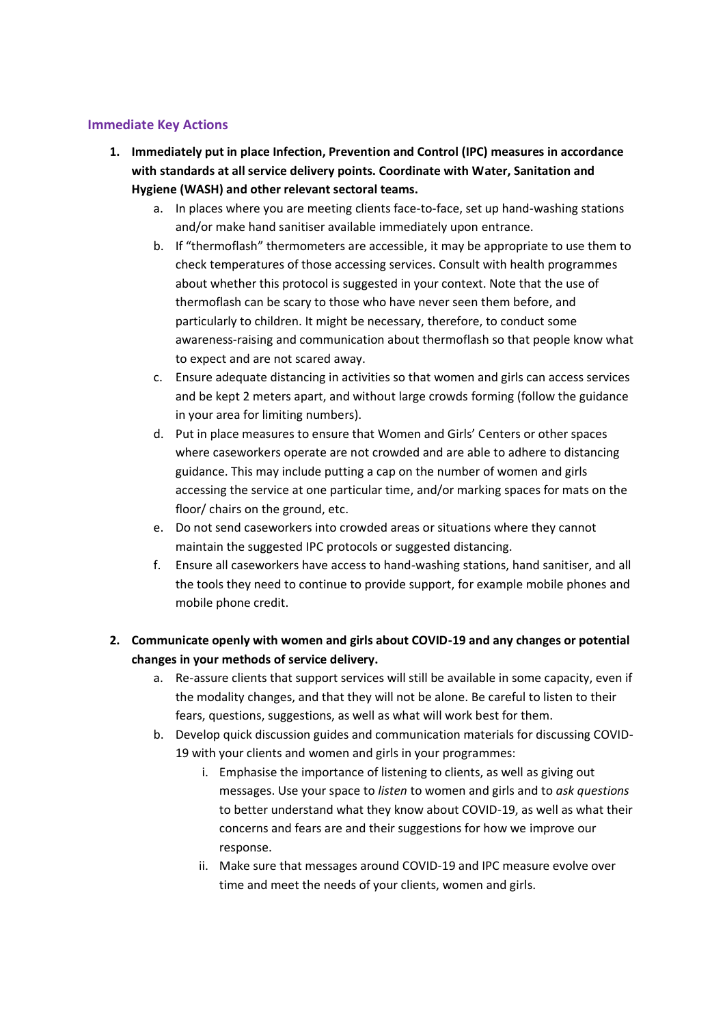### **Immediate Key Actions**

- **1. Immediately put in place Infection, Prevention and Control (IPC) measures in accordance with standards at all service delivery points. Coordinate with Water, Sanitation and Hygiene (WASH) and other relevant sectoral teams.** 
	- a. In places where you are meeting clients face-to-face, set up hand-washing stations and/or make hand sanitiser available immediately upon entrance.
	- b. If "thermoflash" thermometers are accessible, it may be appropriate to use them to check temperatures of those accessing services. Consult with health programmes about whether this protocol is suggested in your context. Note that the use of thermoflash can be scary to those who have never seen them before, and particularly to children. It might be necessary, therefore, to conduct some awareness-raising and communication about thermoflash so that people know what to expect and are not scared away.
	- c. Ensure adequate distancing in activities so that women and girls can access services and be kept 2 meters apart, and without large crowds forming (follow the guidance in your area for limiting numbers).
	- d. Put in place measures to ensure that Women and Girls' Centers or other spaces where caseworkers operate are not crowded and are able to adhere to distancing guidance. This may include putting a cap on the number of women and girls accessing the service at one particular time, and/or marking spaces for mats on the floor/ chairs on the ground, etc.
	- e. Do not send caseworkers into crowded areas or situations where they cannot maintain the suggested IPC protocols or suggested distancing.
	- f. Ensure all caseworkers have access to hand-washing stations, hand sanitiser, and all the tools they need to continue to provide support, for example mobile phones and mobile phone credit.

### **2. Communicate openly with women and girls about COVID-19 and any changes or potential changes in your methods of service delivery.**

- a. Re-assure clients that support services will still be available in some capacity, even if the modality changes, and that they will not be alone. Be careful to listen to their fears, questions, suggestions, as well as what will work best for them.
- b. Develop quick discussion guides and communication materials for discussing COVID-19 with your clients and women and girls in your programmes:
	- i. Emphasise the importance of listening to clients, as well as giving out messages. Use your space to *listen* to women and girls and to *ask questions* to better understand what they know about COVID-19, as well as what their concerns and fears are and their suggestions for how we improve our response.
	- ii. Make sure that messages around COVID-19 and IPC measure evolve over time and meet the needs of your clients, women and girls.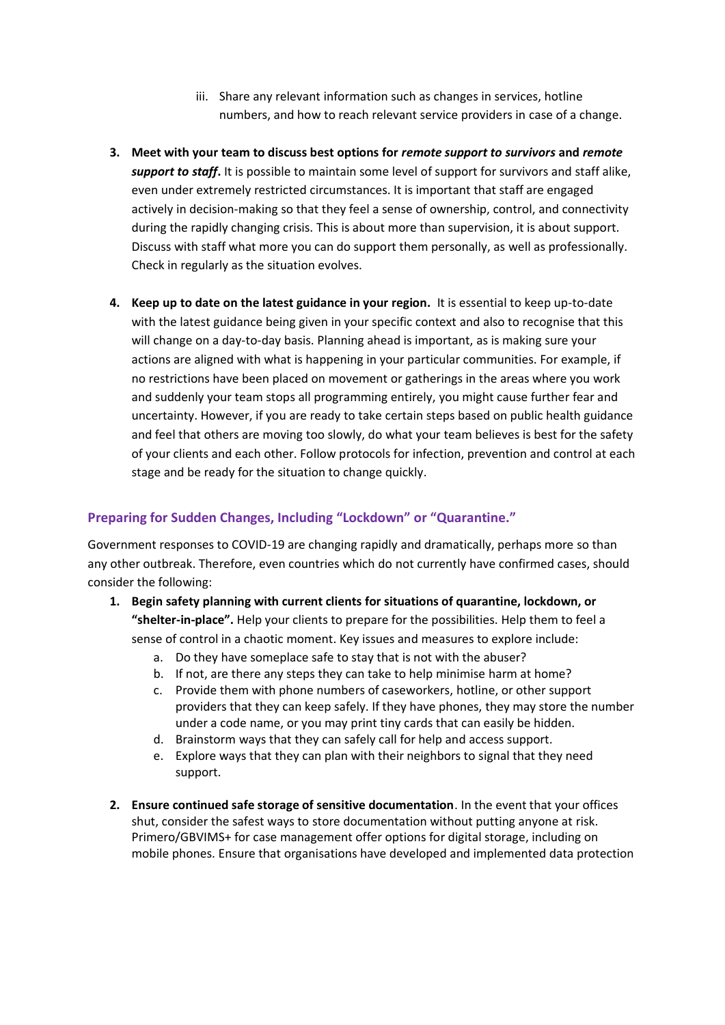- iii. Share any relevant information such as changes in services, hotline numbers, and how to reach relevant service providers in case of a change.
- **3. Meet with your team to discuss best options for** *remote support to survivors* **and** *remote support to staff***.** It is possible to maintain some level of support for survivors and staff alike, even under extremely restricted circumstances. It is important that staff are engaged actively in decision-making so that they feel a sense of ownership, control, and connectivity during the rapidly changing crisis. This is about more than supervision, it is about support. Discuss with staff what more you can do support them personally, as well as professionally. Check in regularly as the situation evolves.
- **4. Keep up to date on the latest guidance in your region.** It is essential to keep up-to-date with the latest guidance being given in your specific context and also to recognise that this will change on a day-to-day basis. Planning ahead is important, as is making sure your actions are aligned with what is happening in your particular communities. For example, if no restrictions have been placed on movement or gatherings in the areas where you work and suddenly your team stops all programming entirely, you might cause further fear and uncertainty. However, if you are ready to take certain steps based on public health guidance and feel that others are moving too slowly, do what your team believes is best for the safety of your clients and each other. Follow protocols for infection, prevention and control at each stage and be ready for the situation to change quickly.

### **Preparing for Sudden Changes, Including "Lockdown" or "Quarantine."**

Government responses to COVID-19 are changing rapidly and dramatically, perhaps more so than any other outbreak. Therefore, even countries which do not currently have confirmed cases, should consider the following:

- **1. Begin safety planning with current clients for situations of quarantine, lockdown, or "shelter-in-place".** Help your clients to prepare for the possibilities. Help them to feel a sense of control in a chaotic moment. Key issues and measures to explore include:
	- a. Do they have someplace safe to stay that is not with the abuser?
	- b. If not, are there any steps they can take to help minimise harm at home?
	- c. Provide them with phone numbers of caseworkers, hotline, or other support providers that they can keep safely. If they have phones, they may store the number under a code name, or you may print tiny cards that can easily be hidden.
	- d. Brainstorm ways that they can safely call for help and access support.
	- e. Explore ways that they can plan with their neighbors to signal that they need support.
- **2. Ensure continued safe storage of sensitive documentation**. In the event that your offices shut, consider the safest ways to store documentation without putting anyone at risk. Primero/GBVIMS+ for case management offer options for digital storage, including on mobile phones. Ensure that organisations have developed and implemented data protection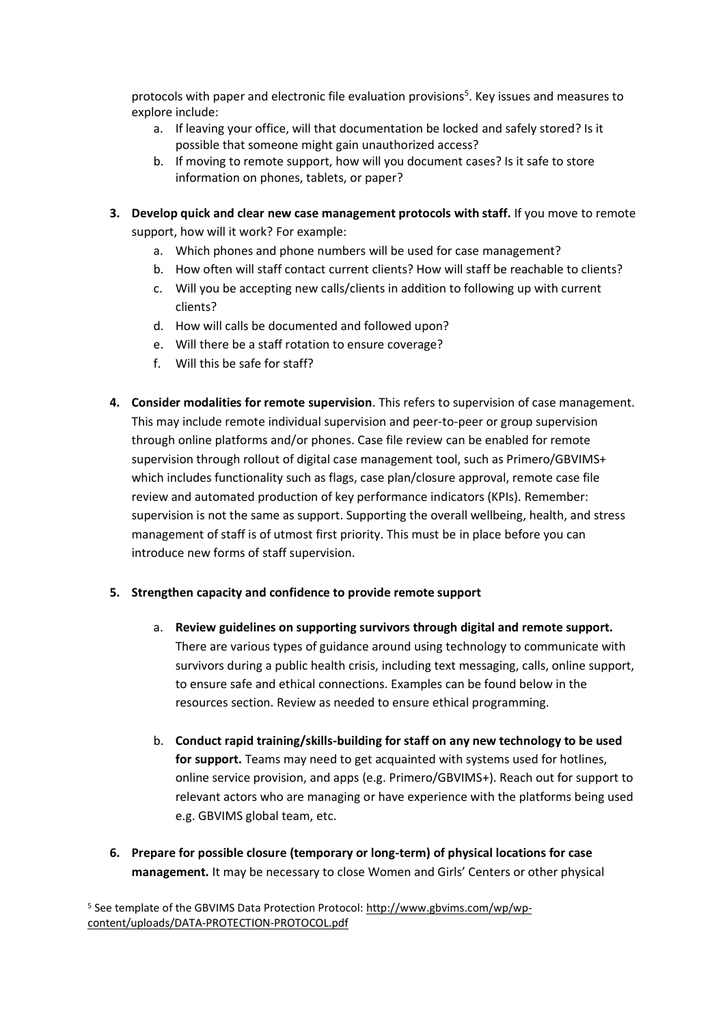protocols with paper and electronic file evaluation provisions<sup>5</sup>. Key issues and measures to explore include:

- a. If leaving your office, will that documentation be locked and safely stored? Is it possible that someone might gain unauthorized access?
- b. If moving to remote support, how will you document cases? Is it safe to store information on phones, tablets, or paper?
- **3. Develop quick and clear new case management protocols with staff.** If you move to remote support, how will it work? For example:
	- a. Which phones and phone numbers will be used for case management?
	- b. How often will staff contact current clients? How will staff be reachable to clients?
	- c. Will you be accepting new calls/clients in addition to following up with current clients?
	- d. How will calls be documented and followed upon?
	- e. Will there be a staff rotation to ensure coverage?
	- f. Will this be safe for staff?
- **4. Consider modalities for remote supervision**. This refers to supervision of case management. This may include remote individual supervision and peer-to-peer or group supervision through online platforms and/or phones. Case file review can be enabled for remote supervision through rollout of digital case management tool, such as Primero/GBVIMS+ which includes functionality such as flags, case plan/closure approval, remote case file review and automated production of key performance indicators (KPIs). Remember: supervision is not the same as support. Supporting the overall wellbeing, health, and stress management of staff is of utmost first priority. This must be in place before you can introduce new forms of staff supervision.

### **5. Strengthen capacity and confidence to provide remote support**

- a. **Review guidelines on supporting survivors through digital and remote support.**  There are various types of guidance around using technology to communicate with survivors during a public health crisis, including text messaging, calls, online support, to ensure safe and ethical connections. Examples can be found below in the resources section. Review as needed to ensure ethical programming.
- b. **Conduct rapid training/skills-building for staff on any new technology to be used for support.** Teams may need to get acquainted with systems used for hotlines, online service provision, and apps (e.g. Primero/GBVIMS+). Reach out for support to relevant actors who are managing or have experience with the platforms being used e.g. GBVIMS global team, etc.
- **6. Prepare for possible closure (temporary or long-term) of physical locations for case management.** It may be necessary to close Women and Girls' Centers or other physical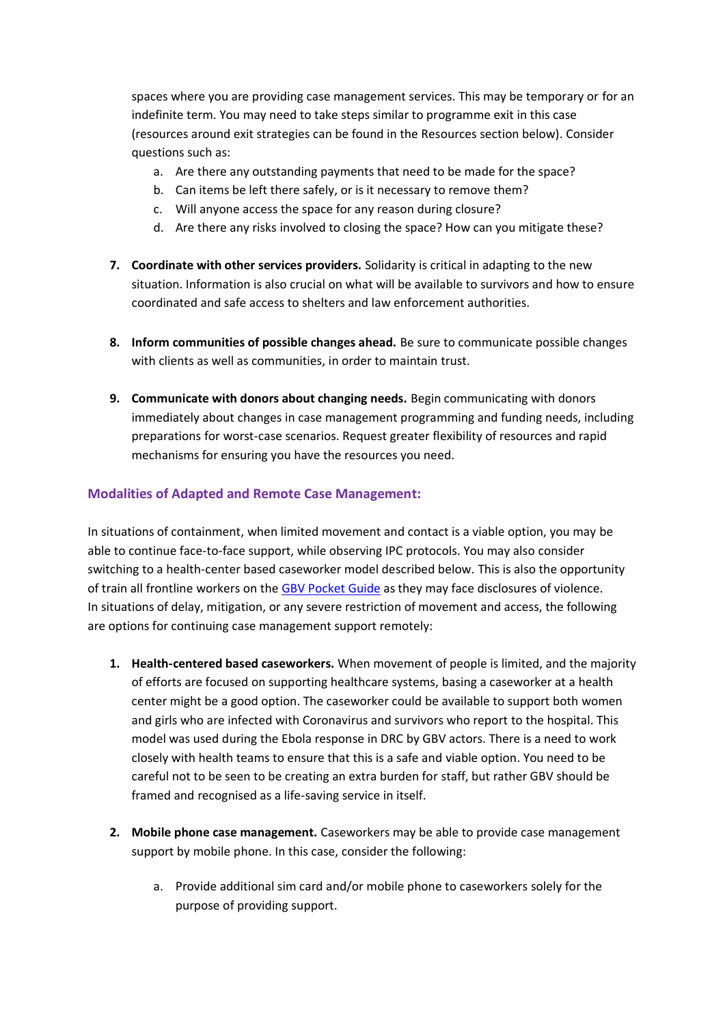spaces where you are providing case management services. This may be temporary or for an indefinite term. You may need to take steps similar to programme exit in this case (resources around exit strategies can be found in the Resources section below). Consider questions such as:

- a. Are there any outstanding payments that need to be made for the space?
- b. Can items be left there safely, or is it necessary to remove them?
- c. Will anyone access the space for any reason during closure?
- d. Are there any risks involved to closing the space? How can you mitigate these?
- **7. Coordinate with other services providers.** Solidarity is critical in adapting to the new situation. Information is also crucial on what will be available to survivors and how to ensure coordinated and safe access to shelters and law enforcement authorities.
- **8. Inform communities of possible changes ahead.** Be sure to communicate possible changes with clients as well as communities, in order to maintain trust.
- **9. Communicate with donors about changing needs.** Begin communicating with donors immediately about changes in case management programming and funding needs, including preparations for worst-case scenarios. Request greater flexibility of resources and rapid mechanisms for ensuring you have the resources you need.

### **Modalities of Adapted and Remote Case Management:**

In situations of containment, when limited movement and contact is a viable option, you may be able to continue face-to-face support, while observing IPC protocols. You may also consider switching to a health-center based caseworker model described below. This is also the opportunity of train all frontline workers on the [GBV Pocket Guide](https://gbvguidelines.org/en/pocketguide/) as they may face disclosures of violence. In situations of delay, mitigation, or any severe restriction of movement and access, the following are options for continuing case management support remotely:

- **1. Health-centered based caseworkers.** When movement of people is limited, and the majority of efforts are focused on supporting healthcare systems, basing a caseworker at a health center might be a good option. The caseworker could be available to support both women and girls who are infected with Coronavirus and survivors who report to the hospital. This model was used during the Ebola response in DRC by GBV actors. There is a need to work closely with health teams to ensure that this is a safe and viable option. You need to be careful not to be seen to be creating an extra burden for staff, but rather GBV should be framed and recognised as a life-saving service in itself.
- **2. Mobile phone case management.** Caseworkers may be able to provide case management support by mobile phone. In this case, consider the following:
	- a. Provide additional sim card and/or mobile phone to caseworkers solely for the purpose of providing support.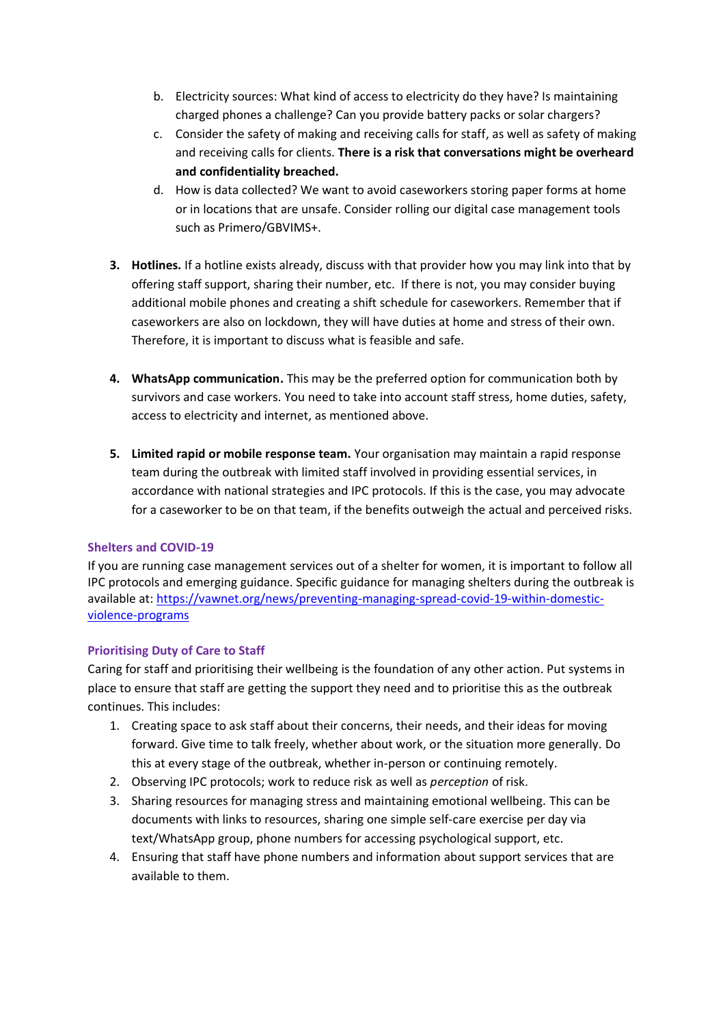- b. Electricity sources: What kind of access to electricity do they have? Is maintaining charged phones a challenge? Can you provide battery packs or solar chargers?
- c. Consider the safety of making and receiving calls for staff, as well as safety of making and receiving calls for clients. **There is a risk that conversations might be overheard and confidentiality breached.**
- d. How is data collected? We want to avoid caseworkers storing paper forms at home or in locations that are unsafe. Consider rolling our digital case management tools such as Primero/GBVIMS+.
- **3. Hotlines.** If a hotline exists already, discuss with that provider how you may link into that by offering staff support, sharing their number, etc. If there is not, you may consider buying additional mobile phones and creating a shift schedule for caseworkers. Remember that if caseworkers are also on lockdown, they will have duties at home and stress of their own. Therefore, it is important to discuss what is feasible and safe.
- **4. WhatsApp communication.** This may be the preferred option for communication both by survivors and case workers. You need to take into account staff stress, home duties, safety, access to electricity and internet, as mentioned above.
- **5. Limited rapid or mobile response team.** Your organisation may maintain a rapid response team during the outbreak with limited staff involved in providing essential services, in accordance with national strategies and IPC protocols. If this is the case, you may advocate for a caseworker to be on that team, if the benefits outweigh the actual and perceived risks.

### **Shelters and COVID-19**

If you are running case management services out of a shelter for women, it is important to follow all IPC protocols and emerging guidance. Specific guidance for managing shelters during the outbreak is available at[: https://vawnet.org/news/preventing-managing-spread-covid-19-within-domestic](https://vawnet.org/news/preventing-managing-spread-covid-19-within-domestic-violence-programs)[violence-programs](https://vawnet.org/news/preventing-managing-spread-covid-19-within-domestic-violence-programs)

### **Prioritising Duty of Care to Staff**

Caring for staff and prioritising their wellbeing is the foundation of any other action. Put systems in place to ensure that staff are getting the support they need and to prioritise this as the outbreak continues. This includes:

- 1. Creating space to ask staff about their concerns, their needs, and their ideas for moving forward. Give time to talk freely, whether about work, or the situation more generally. Do this at every stage of the outbreak, whether in-person or continuing remotely.
- 2. Observing IPC protocols; work to reduce risk as well as *perception* of risk.
- 3. Sharing resources for managing stress and maintaining emotional wellbeing. This can be documents with links to resources, sharing one simple self-care exercise per day via text/WhatsApp group, phone numbers for accessing psychological support, etc.
- 4. Ensuring that staff have phone numbers and information about support services that are available to them.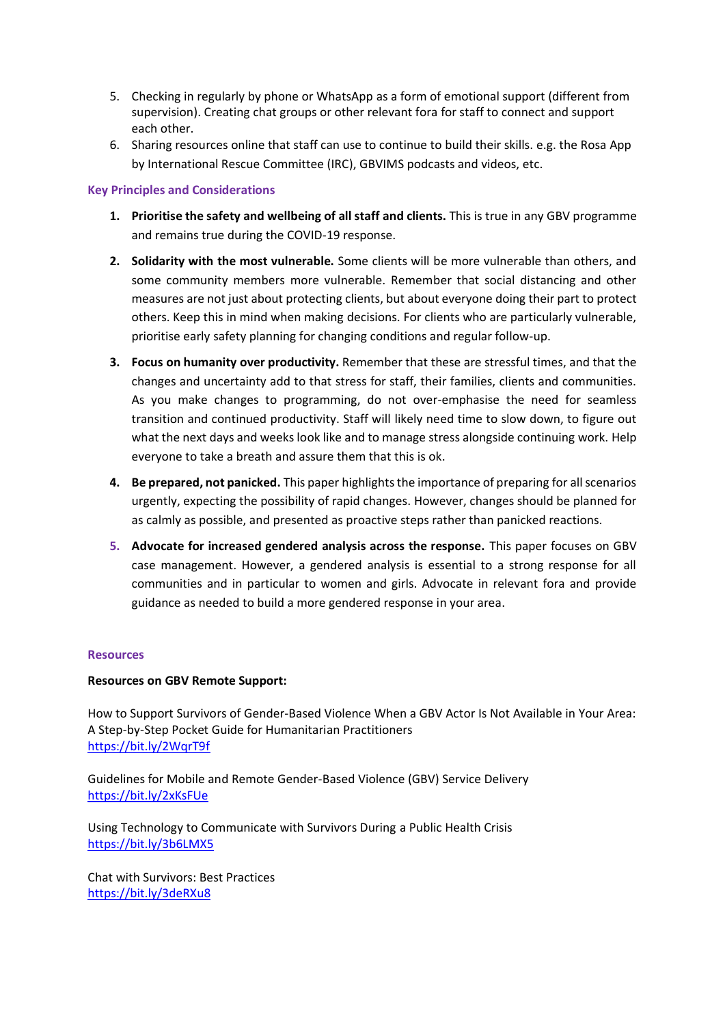- 5. Checking in regularly by phone or WhatsApp as a form of emotional support (different from supervision). Creating chat groups or other relevant fora for staff to connect and support each other.
- 6. Sharing resources online that staff can use to continue to build their skills. e.g. the Rosa App by International Rescue Committee (IRC), GBVIMS podcasts and videos, etc.

#### **Key Principles and Considerations**

- **1. Prioritise the safety and wellbeing of all staff and clients.** This is true in any GBV programme and remains true during the COVID-19 response.
- **2. Solidarity with the most vulnerable.** Some clients will be more vulnerable than others, and some community members more vulnerable. Remember that social distancing and other measures are not just about protecting clients, but about everyone doing their part to protect others. Keep this in mind when making decisions. For clients who are particularly vulnerable, prioritise early safety planning for changing conditions and regular follow-up.
- **3. Focus on humanity over productivity.** Remember that these are stressful times, and that the changes and uncertainty add to that stress for staff, their families, clients and communities. As you make changes to programming, do not over-emphasise the need for seamless transition and continued productivity. Staff will likely need time to slow down, to figure out what the next days and weeks look like and to manage stress alongside continuing work. Help everyone to take a breath and assure them that this is ok.
- **4. Be prepared, not panicked.** This paper highlights the importance of preparing for all scenarios urgently, expecting the possibility of rapid changes. However, changes should be planned for as calmly as possible, and presented as proactive steps rather than panicked reactions.
- **5. Advocate for increased gendered analysis across the response.** This paper focuses on GBV case management. However, a gendered analysis is essential to a strong response for all communities and in particular to women and girls. Advocate in relevant fora and provide guidance as needed to build a more gendered response in your area.

#### **Resources**

#### **Resources on GBV Remote Support:**

How to Support Survivors of Gender-Based Violence When a GBV Actor Is Not Available in Your Area: A Step-by-Step Pocket Guide for Humanitarian Practitioners <https://bit.ly/2WqrT9f>

Guidelines for Mobile and Remote Gender-Based Violence (GBV) Service Delivery <https://bit.ly/2xKsFUe>

Using Technology to Communicate with Survivors During a Public Health Crisis <https://bit.ly/3b6LMX5>

Chat with Survivors: Best Practices <https://bit.ly/3deRXu8>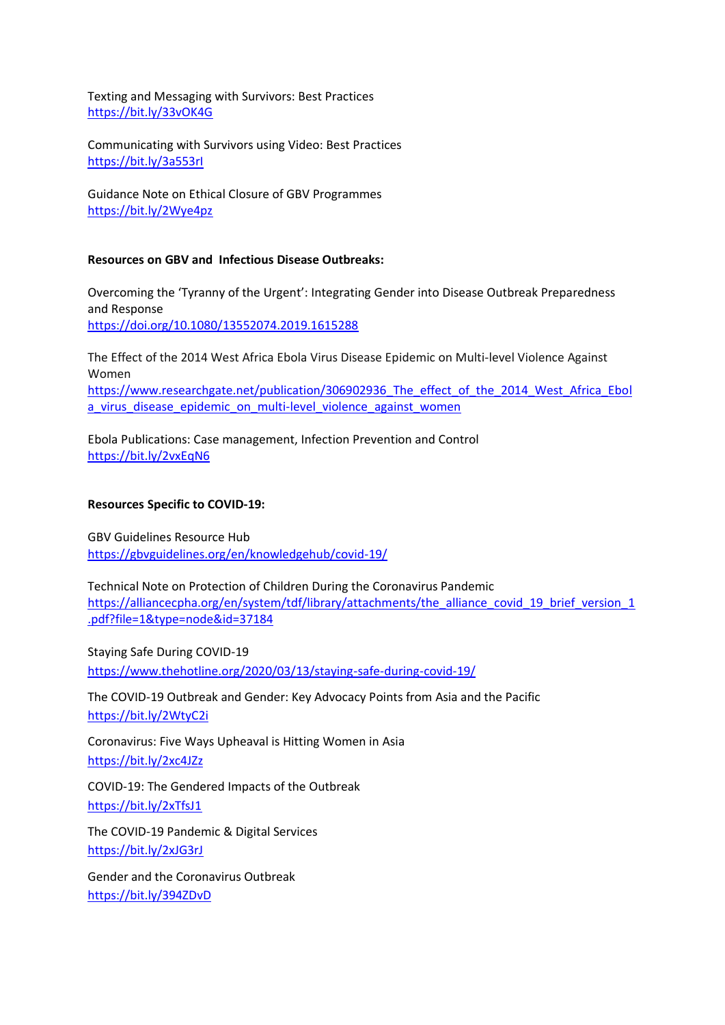Texting and Messaging with Survivors: Best Practices <https://bit.ly/33vOK4G>

Communicating with Survivors using Video: Best Practices <https://bit.ly/3a553rI>

Guidance Note on Ethical Closure of GBV Programmes <https://bit.ly/2Wye4pz>

#### **Resources on GBV and Infectious Disease Outbreaks:**

Overcoming the 'Tyranny of the Urgent': Integrating Gender into Disease Outbreak Preparedness and Response <https://doi.org/10.1080/13552074.2019.1615288>

The Effect of the 2014 West Africa Ebola Virus Disease Epidemic on Multi-level Violence Against Women [https://www.researchgate.net/publication/306902936\\_The\\_effect\\_of\\_the\\_2014\\_West\\_Africa\\_Ebol](https://www.researchgate.net/publication/306902936_The_effect_of_the_2014_West_Africa_Ebola_virus_disease_epidemic_on_multi-level_violence_against_women) a virus disease epidemic on multi-level violence against women

Ebola Publications: Case management, Infection Prevention and Control <https://bit.ly/2vxEqN6>

#### **Resources Specific to COVID-19:**

GBV Guidelines Resource Hub <https://gbvguidelines.org/en/knowledgehub/covid-19/>

Technical Note on Protection of Children During the Coronavirus Pandemic [https://alliancecpha.org/en/system/tdf/library/attachments/the\\_alliance\\_covid\\_19\\_brief\\_version\\_1](https://alliancecpha.org/en/system/tdf/library/attachments/the_alliance_covid_19_brief_version_1.pdf?file=1&type=node&id=37184) [.pdf?file=1&type=node&id=37184](https://alliancecpha.org/en/system/tdf/library/attachments/the_alliance_covid_19_brief_version_1.pdf?file=1&type=node&id=37184)

Staying Safe During COVID-19 <https://www.thehotline.org/2020/03/13/staying-safe-during-covid-19/>

The COVID-19 Outbreak and Gender: Key Advocacy Points from Asia and the Pacific

<https://bit.ly/2WtyC2i>

Coronavirus: Five Ways Upheaval is Hitting Women in Asia <https://bit.ly/2xc4JZz>

COVID-19: The Gendered Impacts of the Outbreak <https://bit.ly/2xTfsJ1>

The COVID-19 Pandemic & Digital Services <https://bit.ly/2xJG3rJ>

Gender and the Coronavirus Outbreak <https://bit.ly/394ZDvD>